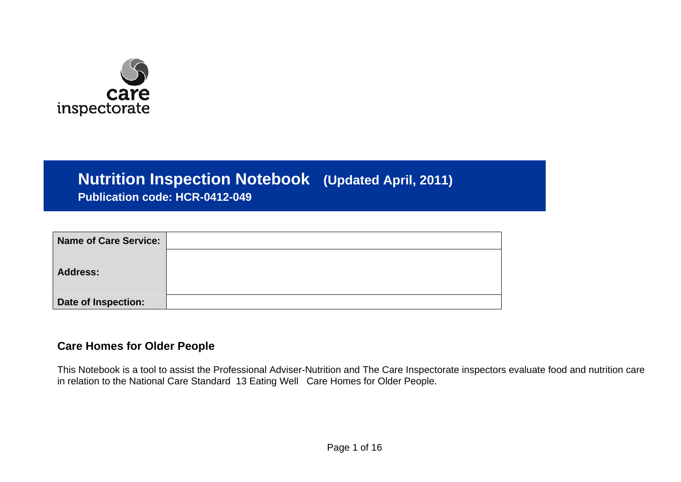

## **Nutrition Inspection Notebook (Updated April, 2011)**

**Publication code: HCR-0412-049** 

| Name of Care Service: |  |
|-----------------------|--|
|                       |  |
| <b>Address:</b>       |  |
|                       |  |
| Date of Inspection:   |  |

## **Care Homes for Older People**

This Notebook is a tool to assist the Professional Adviser-Nutrition and The Care Inspectorate inspectors evaluate food and nutrition care in relation to the National Care Standard 13 Eating Well Care Homes for Older People.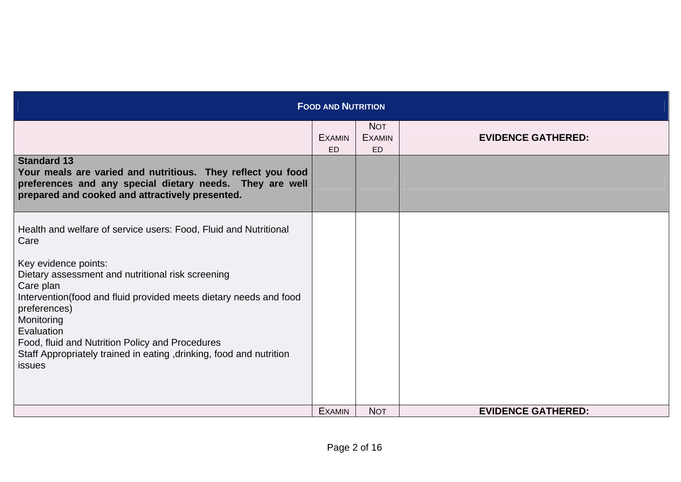| <b>FOOD AND NUTRITION</b>                                                                                                                                                                        |                            |                                          |                           |  |  |
|--------------------------------------------------------------------------------------------------------------------------------------------------------------------------------------------------|----------------------------|------------------------------------------|---------------------------|--|--|
|                                                                                                                                                                                                  | <b>EXAMIN</b><br><b>ED</b> | <b>NOT</b><br><b>EXAMIN</b><br><b>ED</b> | <b>EVIDENCE GATHERED:</b> |  |  |
| <b>Standard 13</b><br>Your meals are varied and nutritious. They reflect you food<br>preferences and any special dietary needs. They are well<br>prepared and cooked and attractively presented. |                            |                                          |                           |  |  |
| Health and welfare of service users: Food, Fluid and Nutritional<br>Care                                                                                                                         |                            |                                          |                           |  |  |
| Key evidence points:<br>Dietary assessment and nutritional risk screening<br>Care plan<br>Intervention (food and fluid provided meets dietary needs and food<br>preferences)<br>Monitoring       |                            |                                          |                           |  |  |
| Evaluation<br>Food, fluid and Nutrition Policy and Procedures<br>Staff Appropriately trained in eating, drinking, food and nutrition<br>issues                                                   |                            |                                          |                           |  |  |
|                                                                                                                                                                                                  | <b>EXAMIN</b>              | <b>NOT</b>                               | <b>EVIDENCE GATHERED:</b> |  |  |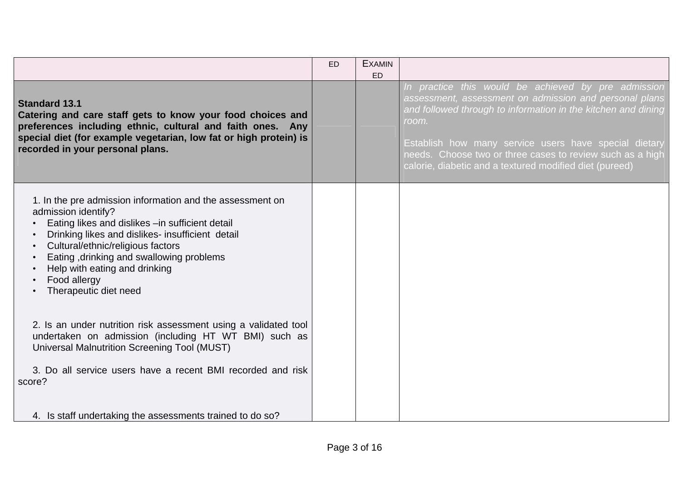|                                                                                                                                                                                                                                                                                                                                                     | <b>ED</b> | <b>EXAMIN</b><br>ED |                                                                                                                                                                                                                                                                                                                                                                          |
|-----------------------------------------------------------------------------------------------------------------------------------------------------------------------------------------------------------------------------------------------------------------------------------------------------------------------------------------------------|-----------|---------------------|--------------------------------------------------------------------------------------------------------------------------------------------------------------------------------------------------------------------------------------------------------------------------------------------------------------------------------------------------------------------------|
| <b>Standard 13.1</b><br>Catering and care staff gets to know your food choices and<br>preferences including ethnic, cultural and faith ones. Any<br>special diet (for example vegetarian, low fat or high protein) is<br>recorded in your personal plans.                                                                                           |           |                     | In practice this would be achieved by pre admission<br>assessment, assessment on admission and personal plans<br>and followed through to information in the kitchen and dining<br>room.<br>Establish how many service users have special dietary<br>needs. Choose two or three cases to review such as a high<br>calorie, diabetic and a textured modified diet (pureed) |
| 1. In the pre admission information and the assessment on<br>admission identify?<br>Eating likes and dislikes - in sufficient detail<br>Drinking likes and dislikes- insufficient detail<br>Cultural/ethnic/religious factors<br>Eating, drinking and swallowing problems<br>Help with eating and drinking<br>Food allergy<br>Therapeutic diet need |           |                     |                                                                                                                                                                                                                                                                                                                                                                          |
| 2. Is an under nutrition risk assessment using a validated tool<br>undertaken on admission (including HT WT BMI) such as<br>Universal Malnutrition Screening Tool (MUST)                                                                                                                                                                            |           |                     |                                                                                                                                                                                                                                                                                                                                                                          |
| 3. Do all service users have a recent BMI recorded and risk<br>score?                                                                                                                                                                                                                                                                               |           |                     |                                                                                                                                                                                                                                                                                                                                                                          |
| 4. Is staff undertaking the assessments trained to do so?                                                                                                                                                                                                                                                                                           |           |                     |                                                                                                                                                                                                                                                                                                                                                                          |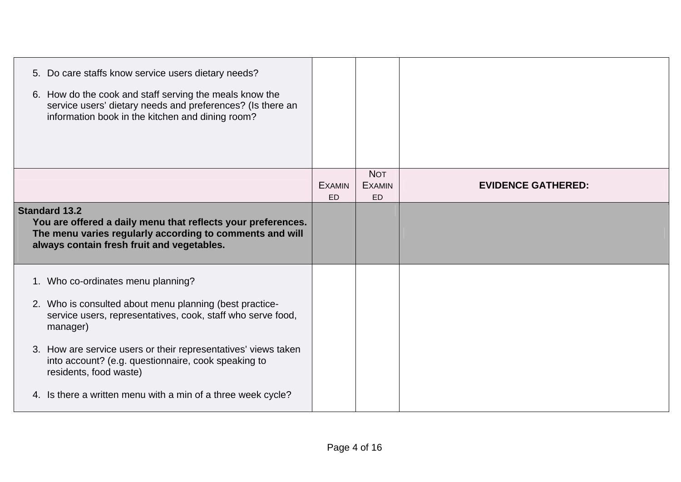|                      | 5. Do care staffs know service users dietary needs?<br>6. How do the cook and staff serving the meals know the<br>service users' dietary needs and preferences? (Is there an<br>information book in the kitchen and dining room? |                            |                                          |                           |
|----------------------|----------------------------------------------------------------------------------------------------------------------------------------------------------------------------------------------------------------------------------|----------------------------|------------------------------------------|---------------------------|
|                      |                                                                                                                                                                                                                                  | <b>EXAMIN</b><br><b>ED</b> | <b>NOT</b><br><b>EXAMIN</b><br><b>ED</b> | <b>EVIDENCE GATHERED:</b> |
| <b>Standard 13.2</b> | You are offered a daily menu that reflects your preferences.<br>The menu varies regularly according to comments and will<br>always contain fresh fruit and vegetables.                                                           |                            |                                          |                           |
|                      | 1. Who co-ordinates menu planning?<br>2. Who is consulted about menu planning (best practice-<br>service users, representatives, cook, staff who serve food,<br>manager)                                                         |                            |                                          |                           |
|                      | 3. How are service users or their representatives' views taken<br>into account? (e.g. questionnaire, cook speaking to<br>residents, food waste)                                                                                  |                            |                                          |                           |
|                      | 4. Is there a written menu with a min of a three week cycle?                                                                                                                                                                     |                            |                                          |                           |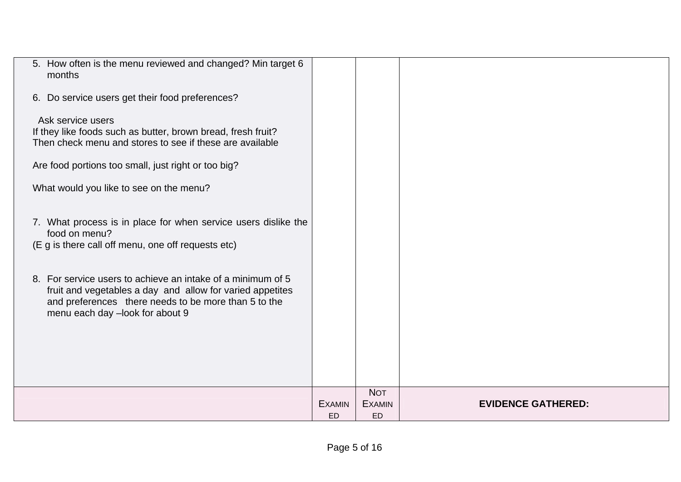| 5. How often is the menu reviewed and changed? Min target 6<br>months                                                                                                                                               |               |                             |                           |
|---------------------------------------------------------------------------------------------------------------------------------------------------------------------------------------------------------------------|---------------|-----------------------------|---------------------------|
| 6. Do service users get their food preferences?                                                                                                                                                                     |               |                             |                           |
| Ask service users<br>If they like foods such as butter, brown bread, fresh fruit?<br>Then check menu and stores to see if these are available                                                                       |               |                             |                           |
| Are food portions too small, just right or too big?                                                                                                                                                                 |               |                             |                           |
| What would you like to see on the menu?                                                                                                                                                                             |               |                             |                           |
| 7. What process is in place for when service users dislike the<br>food on menu?<br>(E g is there call off menu, one off requests etc)                                                                               |               |                             |                           |
| 8. For service users to achieve an intake of a minimum of 5<br>fruit and vegetables a day and allow for varied appetites<br>and preferences there needs to be more than 5 to the<br>menu each day -look for about 9 |               |                             |                           |
|                                                                                                                                                                                                                     |               |                             |                           |
|                                                                                                                                                                                                                     |               |                             |                           |
|                                                                                                                                                                                                                     | <b>EXAMIN</b> | <b>NOT</b><br><b>EXAMIN</b> | <b>EVIDENCE GATHERED:</b> |
|                                                                                                                                                                                                                     | <b>ED</b>     | <b>ED</b>                   |                           |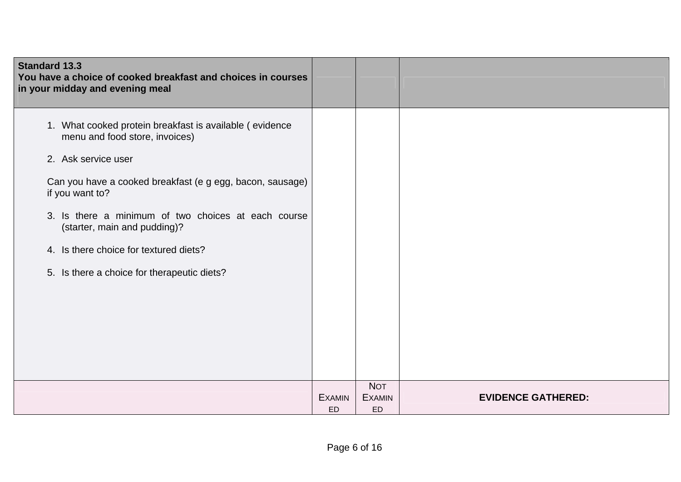| <b>Standard 13.3</b><br>You have a choice of cooked breakfast and choices in courses<br>in your midday and evening meal                                                                                                                                                                                                                                                          |                     |                                   |                           |
|----------------------------------------------------------------------------------------------------------------------------------------------------------------------------------------------------------------------------------------------------------------------------------------------------------------------------------------------------------------------------------|---------------------|-----------------------------------|---------------------------|
| 1. What cooked protein breakfast is available (evidence<br>menu and food store, invoices)<br>2. Ask service user<br>Can you have a cooked breakfast (e g egg, bacon, sausage)<br>if you want to?<br>3. Is there a minimum of two choices at each course<br>(starter, main and pudding)?<br>4. Is there choice for textured diets?<br>5. Is there a choice for therapeutic diets? |                     |                                   |                           |
|                                                                                                                                                                                                                                                                                                                                                                                  | <b>EXAMIN</b><br>ED | <b>NOT</b><br><b>EXAMIN</b><br>ED | <b>EVIDENCE GATHERED:</b> |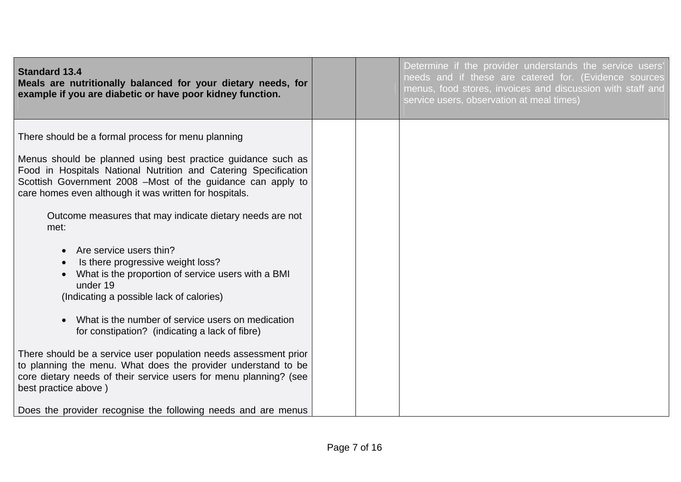| <b>Standard 13.4</b><br>Meals are nutritionally balanced for your dietary needs, for<br>example if you are diabetic or have poor kidney function.                                                                                                        |  | Determine if the provider understands the service users'<br>needs and if these are catered for. (Evidence sources<br>menus, food stores, invoices and discussion with staff and<br>service users, observation at meal times) |
|----------------------------------------------------------------------------------------------------------------------------------------------------------------------------------------------------------------------------------------------------------|--|------------------------------------------------------------------------------------------------------------------------------------------------------------------------------------------------------------------------------|
| There should be a formal process for menu planning                                                                                                                                                                                                       |  |                                                                                                                                                                                                                              |
| Menus should be planned using best practice guidance such as<br>Food in Hospitals National Nutrition and Catering Specification<br>Scottish Government 2008 -Most of the guidance can apply to<br>care homes even although it was written for hospitals. |  |                                                                                                                                                                                                                              |
| Outcome measures that may indicate dietary needs are not<br>met:                                                                                                                                                                                         |  |                                                                                                                                                                                                                              |
| Are service users thin?<br>Is there progressive weight loss?<br>What is the proportion of service users with a BMI<br>under 19<br>(Indicating a possible lack of calories)                                                                               |  |                                                                                                                                                                                                                              |
| What is the number of service users on medication<br>for constipation? (indicating a lack of fibre)                                                                                                                                                      |  |                                                                                                                                                                                                                              |
| There should be a service user population needs assessment prior<br>to planning the menu. What does the provider understand to be<br>core dietary needs of their service users for menu planning? (see<br>best practice above)                           |  |                                                                                                                                                                                                                              |
| Does the provider recognise the following needs and are menus                                                                                                                                                                                            |  |                                                                                                                                                                                                                              |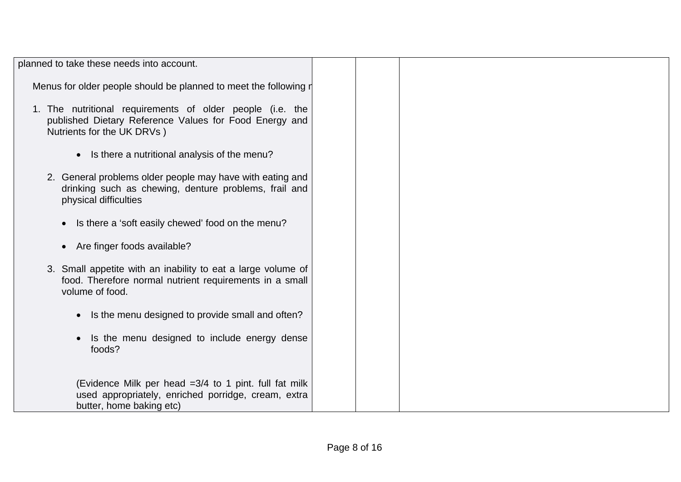| planned to take these needs into account.                                                                                                         |  |  |
|---------------------------------------------------------------------------------------------------------------------------------------------------|--|--|
| Menus for older people should be planned to meet the following r                                                                                  |  |  |
| 1. The nutritional requirements of older people (i.e. the<br>published Dietary Reference Values for Food Energy and<br>Nutrients for the UK DRVs) |  |  |
| Is there a nutritional analysis of the menu?<br>$\bullet$                                                                                         |  |  |
| 2. General problems older people may have with eating and<br>drinking such as chewing, denture problems, frail and<br>physical difficulties       |  |  |
| • Is there a 'soft easily chewed' food on the menu?                                                                                               |  |  |
| Are finger foods available?<br>$\bullet$                                                                                                          |  |  |
| 3. Small appetite with an inability to eat a large volume of<br>food. Therefore normal nutrient requirements in a small<br>volume of food.        |  |  |
| Is the menu designed to provide small and often?<br>$\bullet$                                                                                     |  |  |
| Is the menu designed to include energy dense<br>foods?                                                                                            |  |  |
| (Evidence Milk per head =3/4 to 1 pint. full fat milk<br>used appropriately, enriched porridge, cream, extra<br>butter, home baking etc)          |  |  |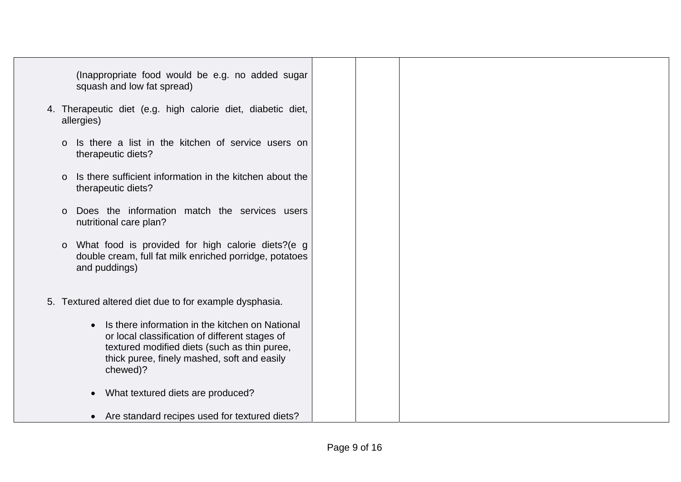| (Inappropriate food would be e.g. no added sugar<br>squash and low fat spread)                                                                                                                                            |  |  |  |
|---------------------------------------------------------------------------------------------------------------------------------------------------------------------------------------------------------------------------|--|--|--|
| 4. Therapeutic diet (e.g. high calorie diet, diabetic diet,<br>allergies)                                                                                                                                                 |  |  |  |
| Is there a list in the kitchen of service users on<br>$\circ$<br>therapeutic diets?                                                                                                                                       |  |  |  |
| Is there sufficient information in the kitchen about the<br>$\circ$<br>therapeutic diets?                                                                                                                                 |  |  |  |
| Does the information match the services users<br>$\Omega$<br>nutritional care plan?                                                                                                                                       |  |  |  |
| What food is provided for high calorie diets?(e g<br>$\circ$<br>double cream, full fat milk enriched porridge, potatoes<br>and puddings)                                                                                  |  |  |  |
| 5. Textured altered diet due to for example dysphasia.                                                                                                                                                                    |  |  |  |
| Is there information in the kitchen on National<br>$\bullet$<br>or local classification of different stages of<br>textured modified diets (such as thin puree,<br>thick puree, finely mashed, soft and easily<br>chewed)? |  |  |  |
| What textured diets are produced?<br>$\bullet$                                                                                                                                                                            |  |  |  |
| Are standard recipes used for textured diets?<br>$\bullet$                                                                                                                                                                |  |  |  |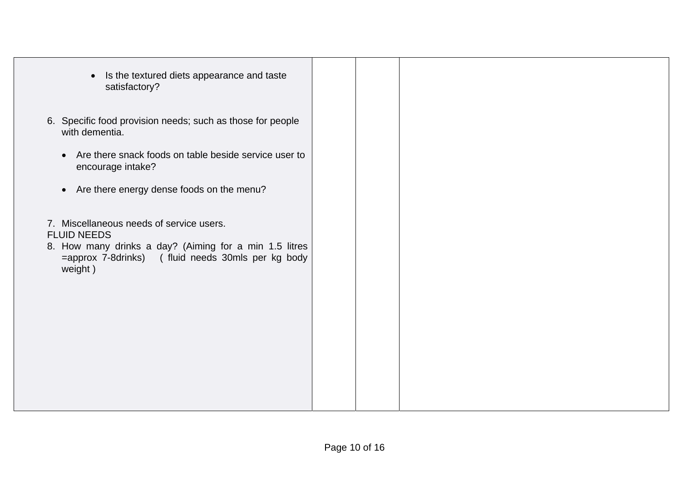| Is the textured diets appearance and taste<br>$\bullet$<br>satisfactory?                                                                                                                 |  |  |
|------------------------------------------------------------------------------------------------------------------------------------------------------------------------------------------|--|--|
| 6. Specific food provision needs; such as those for people<br>with dementia.                                                                                                             |  |  |
| Are there snack foods on table beside service user to<br>$\bullet$<br>encourage intake?                                                                                                  |  |  |
| • Are there energy dense foods on the menu?                                                                                                                                              |  |  |
| 7. Miscellaneous needs of service users.<br><b>FLUID NEEDS</b><br>8. How many drinks a day? (Aiming for a min 1.5 litres<br>=approx 7-8drinks) (fluid needs 30mls per kg body<br>weight) |  |  |
|                                                                                                                                                                                          |  |  |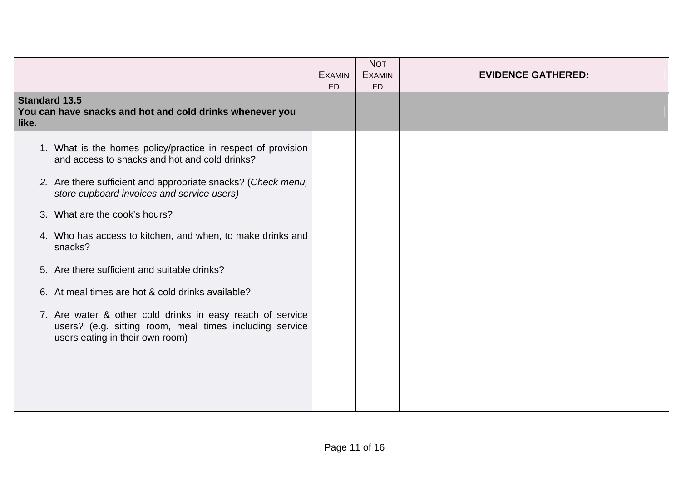|                                                                                                                                                         | <b>EXAMIN</b><br>ED | <b>NOT</b><br><b>EXAMIN</b><br><b>ED</b> | <b>EVIDENCE GATHERED:</b> |
|---------------------------------------------------------------------------------------------------------------------------------------------------------|---------------------|------------------------------------------|---------------------------|
| <b>Standard 13.5</b><br>You can have snacks and hot and cold drinks whenever you<br>like.                                                               |                     |                                          |                           |
| 1. What is the homes policy/practice in respect of provision<br>and access to snacks and hot and cold drinks?                                           |                     |                                          |                           |
| 2. Are there sufficient and appropriate snacks? (Check menu,<br>store cupboard invoices and service users)                                              |                     |                                          |                           |
| 3. What are the cook's hours?                                                                                                                           |                     |                                          |                           |
| 4. Who has access to kitchen, and when, to make drinks and<br>snacks?                                                                                   |                     |                                          |                           |
| 5. Are there sufficient and suitable drinks?                                                                                                            |                     |                                          |                           |
| 6. At meal times are hot & cold drinks available?                                                                                                       |                     |                                          |                           |
| 7. Are water & other cold drinks in easy reach of service<br>users? (e.g. sitting room, meal times including service<br>users eating in their own room) |                     |                                          |                           |
|                                                                                                                                                         |                     |                                          |                           |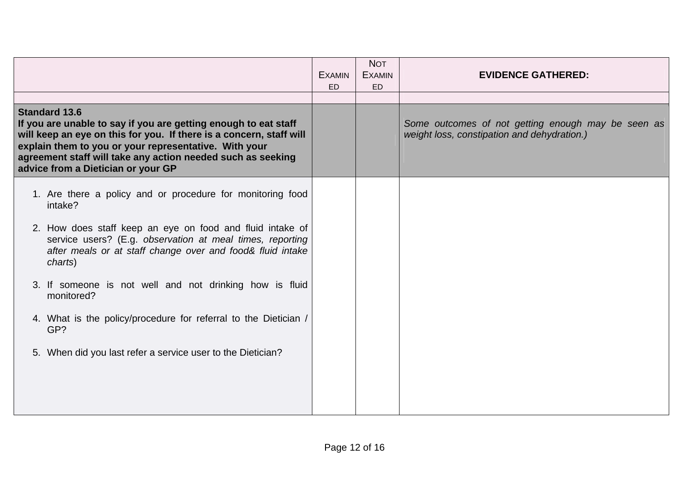|                                                                                                                                                                                                                                                                                                                              | <b>EXAMIN</b><br>ED | <b>NOT</b><br><b>EXAMIN</b><br><b>ED</b> | <b>EVIDENCE GATHERED:</b>                                                                         |
|------------------------------------------------------------------------------------------------------------------------------------------------------------------------------------------------------------------------------------------------------------------------------------------------------------------------------|---------------------|------------------------------------------|---------------------------------------------------------------------------------------------------|
|                                                                                                                                                                                                                                                                                                                              |                     |                                          |                                                                                                   |
| <b>Standard 13.6</b><br>If you are unable to say if you are getting enough to eat staff<br>will keep an eye on this for you. If there is a concern, staff will<br>explain them to you or your representative. With your<br>agreement staff will take any action needed such as seeking<br>advice from a Dietician or your GP |                     |                                          | Some outcomes of not getting enough may be seen as<br>weight loss, constipation and dehydration.) |
| 1. Are there a policy and or procedure for monitoring food<br>intake?                                                                                                                                                                                                                                                        |                     |                                          |                                                                                                   |
| 2. How does staff keep an eye on food and fluid intake of<br>service users? (E.g. observation at meal times, reporting<br>after meals or at staff change over and food& fluid intake<br>charts)                                                                                                                              |                     |                                          |                                                                                                   |
| 3. If someone is not well and not drinking how is fluid<br>monitored?                                                                                                                                                                                                                                                        |                     |                                          |                                                                                                   |
| 4. What is the policy/procedure for referral to the Dietician /<br>GP?                                                                                                                                                                                                                                                       |                     |                                          |                                                                                                   |
| 5. When did you last refer a service user to the Dietician?                                                                                                                                                                                                                                                                  |                     |                                          |                                                                                                   |
|                                                                                                                                                                                                                                                                                                                              |                     |                                          |                                                                                                   |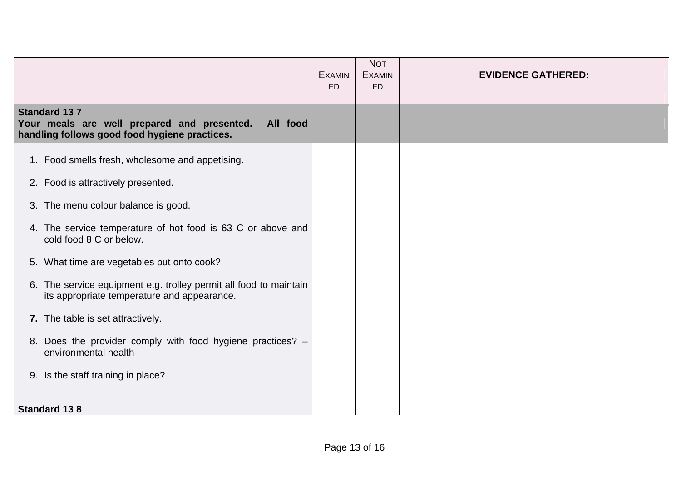|                                                                                                                                 |                                                                                                               | <b>EXAMIN</b><br><b>ED</b> | <b>NOT</b><br><b>EXAMIN</b><br><b>ED</b> | <b>EVIDENCE GATHERED:</b> |
|---------------------------------------------------------------------------------------------------------------------------------|---------------------------------------------------------------------------------------------------------------|----------------------------|------------------------------------------|---------------------------|
|                                                                                                                                 |                                                                                                               |                            |                                          |                           |
| <b>Standard 137</b><br>Your meals are well prepared and presented.<br>All food<br>handling follows good food hygiene practices. |                                                                                                               |                            |                                          |                           |
|                                                                                                                                 | 1. Food smells fresh, wholesome and appetising.                                                               |                            |                                          |                           |
|                                                                                                                                 | 2. Food is attractively presented.                                                                            |                            |                                          |                           |
|                                                                                                                                 | 3. The menu colour balance is good.                                                                           |                            |                                          |                           |
|                                                                                                                                 | 4. The service temperature of hot food is 63 C or above and<br>cold food 8 C or below.                        |                            |                                          |                           |
|                                                                                                                                 | 5. What time are vegetables put onto cook?                                                                    |                            |                                          |                           |
| 6.                                                                                                                              | The service equipment e.g. trolley permit all food to maintain<br>its appropriate temperature and appearance. |                            |                                          |                           |
|                                                                                                                                 | 7. The table is set attractively.                                                                             |                            |                                          |                           |
|                                                                                                                                 | 8. Does the provider comply with food hygiene practices? -<br>environmental health                            |                            |                                          |                           |
|                                                                                                                                 | 9. Is the staff training in place?                                                                            |                            |                                          |                           |
| <b>Standard 138</b>                                                                                                             |                                                                                                               |                            |                                          |                           |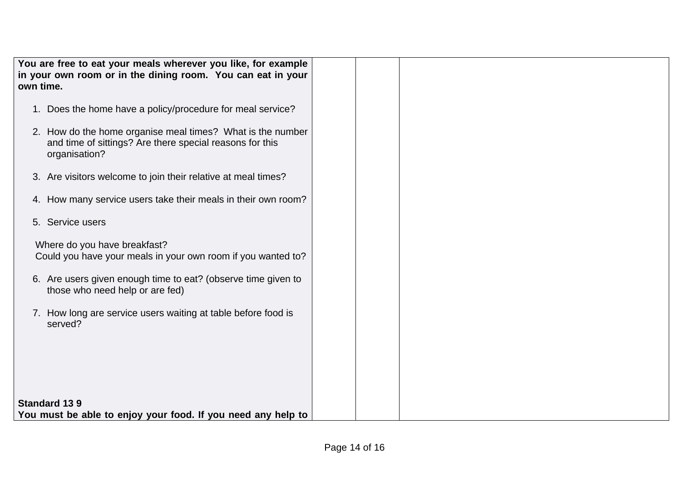|                                                             | You are free to eat your meals wherever you like, for example |  |  |
|-------------------------------------------------------------|---------------------------------------------------------------|--|--|
| in your own room or in the dining room. You can eat in your |                                                               |  |  |
|                                                             |                                                               |  |  |
| own time.                                                   |                                                               |  |  |
|                                                             |                                                               |  |  |
|                                                             | 1. Does the home have a policy/procedure for meal service?    |  |  |
|                                                             |                                                               |  |  |
|                                                             | 2. How do the home organise meal times? What is the number    |  |  |
|                                                             | and time of sittings? Are there special reasons for this      |  |  |
|                                                             |                                                               |  |  |
|                                                             | organisation?                                                 |  |  |
|                                                             |                                                               |  |  |
|                                                             | 3. Are visitors welcome to join their relative at meal times? |  |  |
|                                                             |                                                               |  |  |
|                                                             | 4. How many service users take their meals in their own room? |  |  |
|                                                             |                                                               |  |  |
|                                                             | 5. Service users                                              |  |  |
|                                                             |                                                               |  |  |
|                                                             | Where do you have breakfast?                                  |  |  |
|                                                             |                                                               |  |  |
|                                                             | Could you have your meals in your own room if you wanted to?  |  |  |
|                                                             |                                                               |  |  |
|                                                             | 6. Are users given enough time to eat? (observe time given to |  |  |
|                                                             | those who need help or are fed)                               |  |  |
|                                                             |                                                               |  |  |
|                                                             | 7. How long are service users waiting at table before food is |  |  |
|                                                             | served?                                                       |  |  |
|                                                             |                                                               |  |  |
|                                                             |                                                               |  |  |
|                                                             |                                                               |  |  |
|                                                             |                                                               |  |  |
|                                                             |                                                               |  |  |
|                                                             |                                                               |  |  |
|                                                             |                                                               |  |  |
| <b>Standard 139</b>                                         |                                                               |  |  |
|                                                             | You must be able to enjoy your food. If you need any help to  |  |  |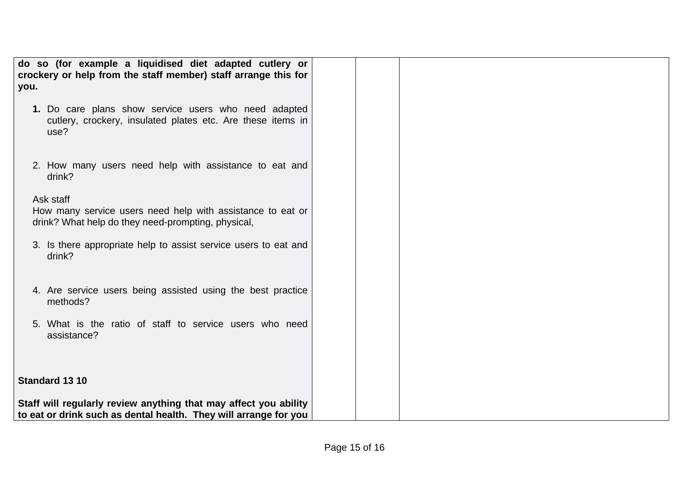| do so (for example a liquidised diet adapted cutlery or<br>crockery or help from the staff member) staff arrange this for<br>you.    |  |
|--------------------------------------------------------------------------------------------------------------------------------------|--|
| 1. Do care plans show service users who need adapted<br>cutlery, crockery, insulated plates etc. Are these items in<br>use?          |  |
| 2. How many users need help with assistance to eat and<br>drink?                                                                     |  |
| Ask staff<br>How many service users need help with assistance to eat or<br>drink? What help do they need-prompting, physical,        |  |
| 3. Is there appropriate help to assist service users to eat and<br>drink?                                                            |  |
| 4. Are service users being assisted using the best practice<br>methods?                                                              |  |
| 5. What is the ratio of staff to service users who need<br>assistance?                                                               |  |
| Standard 13 10                                                                                                                       |  |
| Staff will regularly review anything that may affect you ability<br>to eat or drink such as dental health. They will arrange for you |  |